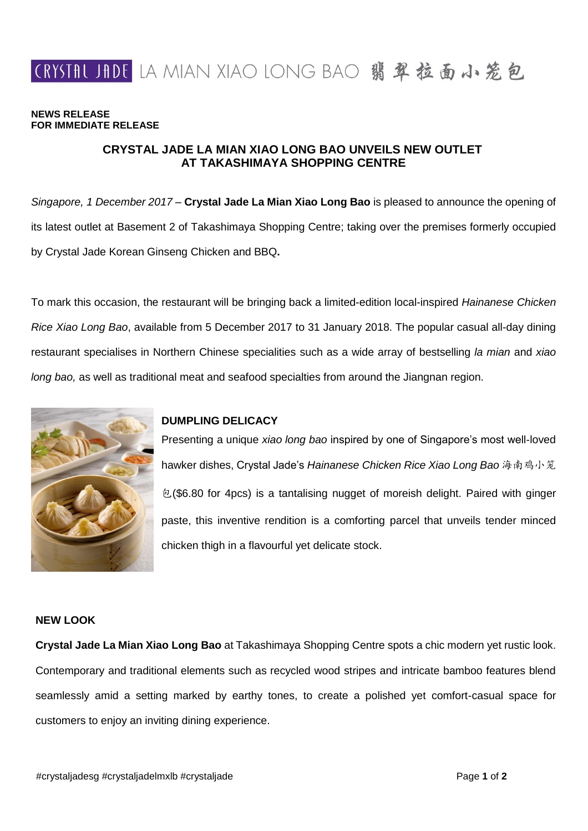

#### **NEWS RELEASE FOR IMMEDIATE RELEASE**

# **CRYSTAL JADE LA MIAN XIAO LONG BAO UNVEILS NEW OUTLET AT TAKASHIMAYA SHOPPING CENTRE**

*Singapore, 1 December 2017* – **Crystal Jade La Mian Xiao Long Bao** is pleased to announce the opening of its latest outlet at Basement 2 of Takashimaya Shopping Centre; taking over the premises formerly occupied by Crystal Jade Korean Ginseng Chicken and BBQ**.**

To mark this occasion, the restaurant will be bringing back a limited-edition local-inspired *Hainanese Chicken Rice Xiao Long Bao*, available from 5 December 2017 to 31 January 2018. The popular casual all-day dining restaurant specialises in Northern Chinese specialities such as a wide array of bestselling *la mian* and *xiao long bao,* as well as traditional meat and seafood specialties from around the Jiangnan region.



### **DUMPLING DELICACY**

Presenting a unique *xiao long bao* inspired by one of Singapore's most well-loved hawker dishes, Crystal Jade's *Hainanese Chicken Rice Xiao Long Bao* 海南鸡小笼 包(\$6.80 for 4pcs) is a tantalising nugget of moreish delight. Paired with ginger paste, this inventive rendition is a comforting parcel that unveils tender minced chicken thigh in a flavourful yet delicate stock.

## **NEW LOOK**

**Crystal Jade La Mian Xiao Long Bao** at Takashimaya Shopping Centre spots a chic modern yet rustic look. Contemporary and traditional elements such as recycled wood stripes and intricate bamboo features blend seamlessly amid a setting marked by earthy tones, to create a polished yet comfort-casual space for customers to enjoy an inviting dining experience.